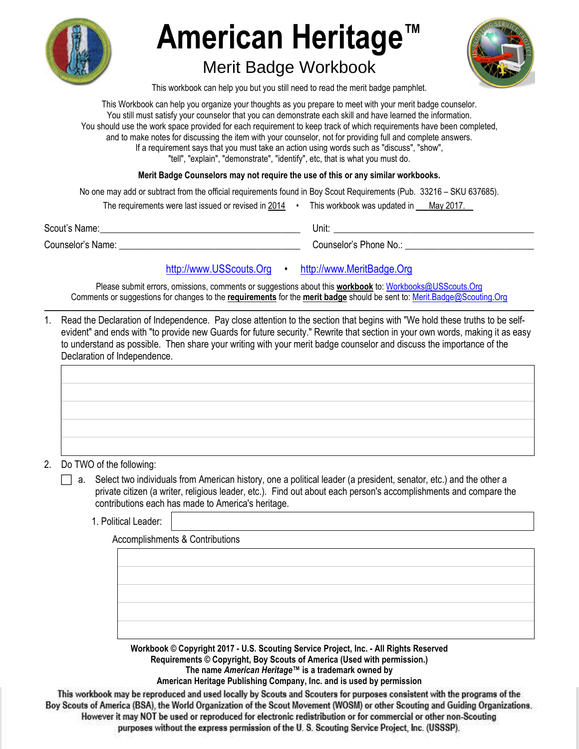

# **American Heritage™**

## Merit Badge Workbook



This workbook can help you but you still need to read the merit badge pamphlet.

This Workbook can help you organize your thoughts as you prepare to meet with your merit badge counselor. You still must satisfy your counselor that you can demonstrate each skill and have learned the information. You should use the work space provided for each requirement to keep track of which requirements have been completed, and to make notes for discussing the item with your counselor, not for providing full and complete answers. If a requirement says that you must take an action using words such as "discuss", "show", "tell", "explain", "demonstrate", "identify", etc, that is what you must do.

**Merit Badge Counselors may not require the use of this or any similar workbooks.**

No one may add or subtract from the official requirements found in Boy Scout Requirements (Pub. 33216 – SKU 637685).

| The requirements were last issued or revised in 2014 |  | This workbook was updated in May 2017. |  |  |
|------------------------------------------------------|--|----------------------------------------|--|--|
|------------------------------------------------------|--|----------------------------------------|--|--|

Scout's Name: \_\_\_\_\_\_\_\_\_\_\_\_\_\_\_\_\_\_\_\_\_\_\_\_\_\_\_\_\_\_\_\_\_\_\_\_\_\_\_\_\_\_ Unit: \_\_\_\_\_\_\_\_\_\_\_\_\_\_\_\_\_\_\_\_\_\_\_\_\_\_\_\_\_\_\_\_\_\_\_\_\_\_\_\_\_\_

Counselor's Name: \_\_\_\_\_\_\_\_\_\_\_\_\_\_\_\_\_\_\_\_\_\_\_\_\_\_\_\_\_\_\_\_\_\_\_\_\_\_ Counselor's Phone No.: \_\_\_\_\_\_\_\_\_\_\_\_\_\_\_\_\_\_\_\_\_\_\_\_\_\_\_

## [http://www.USScouts.Org](http://www.usscouts.org/) • [http://www.MeritBadge.Org](http://www.meritbadge.org/)

Please submit errors, omissions, comments or suggestions about this **workbook** to: [Workbooks@USScouts.Org](mailto:Workbooks@usscouts.org?subject=Merit%20Badge%20Workbooks) Comments or suggestions for changes to the **requirements** for the **merit badge** should be sent to: [Merit.Badge@Scouting.Org](mailto:merit.badge@scouting.org) *\_\_\_\_\_\_\_\_\_\_\_\_\_\_\_\_\_\_\_\_\_\_\_\_\_\_\_\_\_\_\_\_\_\_\_\_\_\_\_\_\_\_\_\_\_\_\_\_\_\_\_\_\_\_\_\_\_\_\_\_\_\_\_\_\_\_\_\_\_\_\_\_\_\_\_\_\_\_\_\_\_\_\_\_\_\_\_\_\_\_\_\_\_\_\_\_\_\_\_\_\_\_\_\_\_\_\_\_\_\_\_\_\_\_\_\_\_\_\_\_\_\_\_\_\_\_\_\_\_\_\_\_\_\_\_\_\_\_\_\_\_\_* 

1. Read the Declaration of Independence. Pay close attention to the section that begins with "We hold these truths to be selfevident" and ends with "to provide new Guards for future security." Rewrite that section in your own words, making it as easy to understand as possible. Then share your writing with your merit badge counselor and discuss the importance of the Declaration of Independence.

- 2. Do TWO of the following:
	- a. Select two individuals from American history, one a political leader (a president, senator, etc.) and the other a private citizen (a writer, religious leader, etc.). Find out about each person's accomplishments and compare the contributions each has made to America's heritage.
		- 1. Political Leader:

Accomplishments & Contributions

**Workbook © Copyright 2017 - U.S. Scouting Service Project, Inc. - All Rights Reserved Requirements © Copyright, Boy Scouts of America (Used with permission.)**

**The name** *American Heritage™* **is a trademark owned by** 

**American Heritage Publishing Company, Inc. and is used by permission**

This workbook may be reproduced and used locally by Scouts and Scouters for purposes consistent with the programs of the **the Boy Scouts of America (BSA), the World Organization of the Scout Movement (WOSM) or other Scouting and Guiding Organizations. However it may NOT be used or reproduced for electronic redistribution or for commercial or other non-Scouting purposes without the express permission of the U. S. Scouting Service Project, Inc. (USSSP).**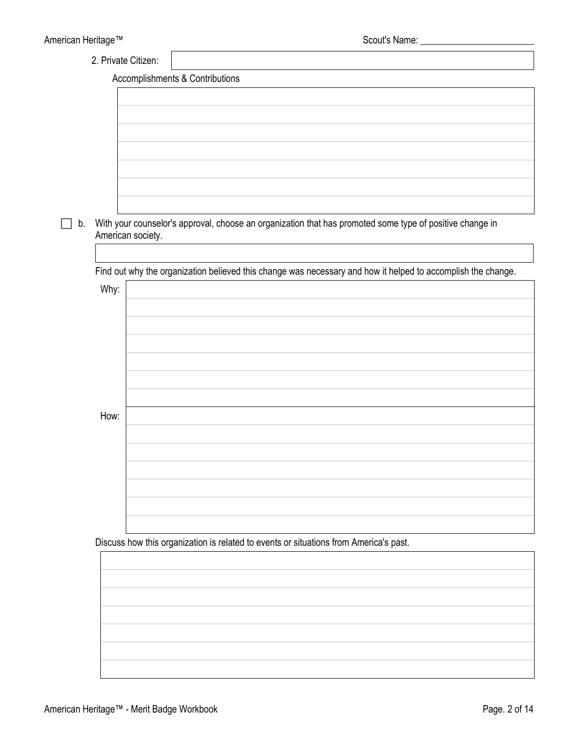2. Private Citizen:

Accomplishments & Contributions

| With your counselor's approval, choose an organization that has promoted some type of positive change in<br>American society.<br>Find out why the organization believed this change was necessary and how it helped to accomplish the change.<br>Why:<br>How:<br>Discuss how this organization is related to events or situations from America's past. |  |
|--------------------------------------------------------------------------------------------------------------------------------------------------------------------------------------------------------------------------------------------------------------------------------------------------------------------------------------------------------|--|
|                                                                                                                                                                                                                                                                                                                                                        |  |
|                                                                                                                                                                                                                                                                                                                                                        |  |
|                                                                                                                                                                                                                                                                                                                                                        |  |
|                                                                                                                                                                                                                                                                                                                                                        |  |
|                                                                                                                                                                                                                                                                                                                                                        |  |
|                                                                                                                                                                                                                                                                                                                                                        |  |
|                                                                                                                                                                                                                                                                                                                                                        |  |
|                                                                                                                                                                                                                                                                                                                                                        |  |
|                                                                                                                                                                                                                                                                                                                                                        |  |
|                                                                                                                                                                                                                                                                                                                                                        |  |
|                                                                                                                                                                                                                                                                                                                                                        |  |
|                                                                                                                                                                                                                                                                                                                                                        |  |
|                                                                                                                                                                                                                                                                                                                                                        |  |
|                                                                                                                                                                                                                                                                                                                                                        |  |
|                                                                                                                                                                                                                                                                                                                                                        |  |
|                                                                                                                                                                                                                                                                                                                                                        |  |
|                                                                                                                                                                                                                                                                                                                                                        |  |
|                                                                                                                                                                                                                                                                                                                                                        |  |
|                                                                                                                                                                                                                                                                                                                                                        |  |
|                                                                                                                                                                                                                                                                                                                                                        |  |
|                                                                                                                                                                                                                                                                                                                                                        |  |
|                                                                                                                                                                                                                                                                                                                                                        |  |
|                                                                                                                                                                                                                                                                                                                                                        |  |
|                                                                                                                                                                                                                                                                                                                                                        |  |
|                                                                                                                                                                                                                                                                                                                                                        |  |
|                                                                                                                                                                                                                                                                                                                                                        |  |
|                                                                                                                                                                                                                                                                                                                                                        |  |
|                                                                                                                                                                                                                                                                                                                                                        |  |
|                                                                                                                                                                                                                                                                                                                                                        |  |
|                                                                                                                                                                                                                                                                                                                                                        |  |
|                                                                                                                                                                                                                                                                                                                                                        |  |
|                                                                                                                                                                                                                                                                                                                                                        |  |
|                                                                                                                                                                                                                                                                                                                                                        |  |
|                                                                                                                                                                                                                                                                                                                                                        |  |
|                                                                                                                                                                                                                                                                                                                                                        |  |
|                                                                                                                                                                                                                                                                                                                                                        |  |
|                                                                                                                                                                                                                                                                                                                                                        |  |
|                                                                                                                                                                                                                                                                                                                                                        |  |
|                                                                                                                                                                                                                                                                                                                                                        |  |
|                                                                                                                                                                                                                                                                                                                                                        |  |
|                                                                                                                                                                                                                                                                                                                                                        |  |
|                                                                                                                                                                                                                                                                                                                                                        |  |
|                                                                                                                                                                                                                                                                                                                                                        |  |
|                                                                                                                                                                                                                                                                                                                                                        |  |
|                                                                                                                                                                                                                                                                                                                                                        |  |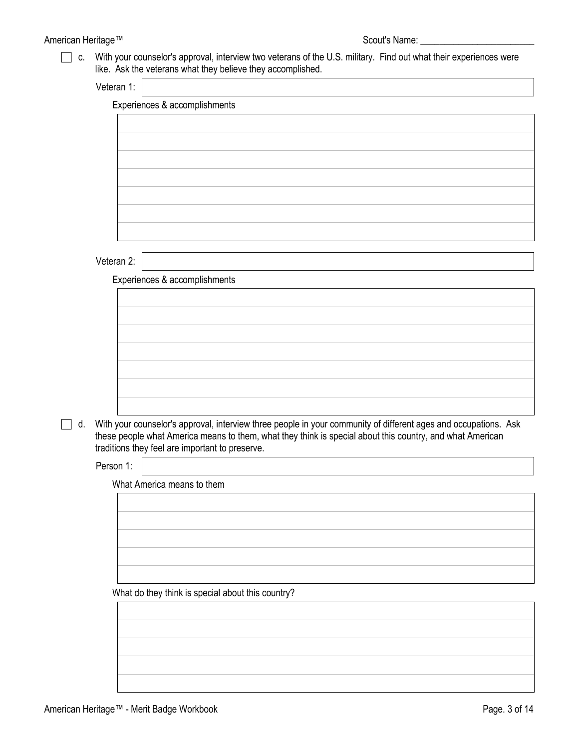### American Heritage™ Scout's Name: \_\_\_\_\_\_\_\_\_\_\_\_\_\_\_\_\_\_\_\_\_\_\_\_

 c. With your counselor's approval, interview two veterans of the U.S. military. Find out what their experiences were like. Ask the veterans what they believe they accomplished.

| /eteran 1: |  |
|------------|--|
|            |  |
|            |  |

|            | Experiences & accomplishments                                                                                                                                      |
|------------|--------------------------------------------------------------------------------------------------------------------------------------------------------------------|
|            |                                                                                                                                                                    |
|            |                                                                                                                                                                    |
|            |                                                                                                                                                                    |
|            |                                                                                                                                                                    |
|            |                                                                                                                                                                    |
|            |                                                                                                                                                                    |
|            |                                                                                                                                                                    |
|            |                                                                                                                                                                    |
|            |                                                                                                                                                                    |
| Veteran 2: |                                                                                                                                                                    |
|            | Experiences & accomplishments                                                                                                                                      |
|            |                                                                                                                                                                    |
|            |                                                                                                                                                                    |
|            |                                                                                                                                                                    |
|            |                                                                                                                                                                    |
|            |                                                                                                                                                                    |
|            |                                                                                                                                                                    |
|            |                                                                                                                                                                    |
|            |                                                                                                                                                                    |
|            |                                                                                                                                                                    |
|            |                                                                                                                                                                    |
|            | these people what America means to them, what they think is special about this country, and what American                                                          |
| Person 1:  | With your counselor's approval, interview three people in your community of different ages and occupations. Ask<br>traditions they feel are important to preserve. |
|            |                                                                                                                                                                    |
|            | What America means to them                                                                                                                                         |
|            |                                                                                                                                                                    |
|            |                                                                                                                                                                    |
|            |                                                                                                                                                                    |
|            |                                                                                                                                                                    |
|            |                                                                                                                                                                    |
|            |                                                                                                                                                                    |
|            | What do they think is special about this country?                                                                                                                  |
|            |                                                                                                                                                                    |
|            |                                                                                                                                                                    |

┑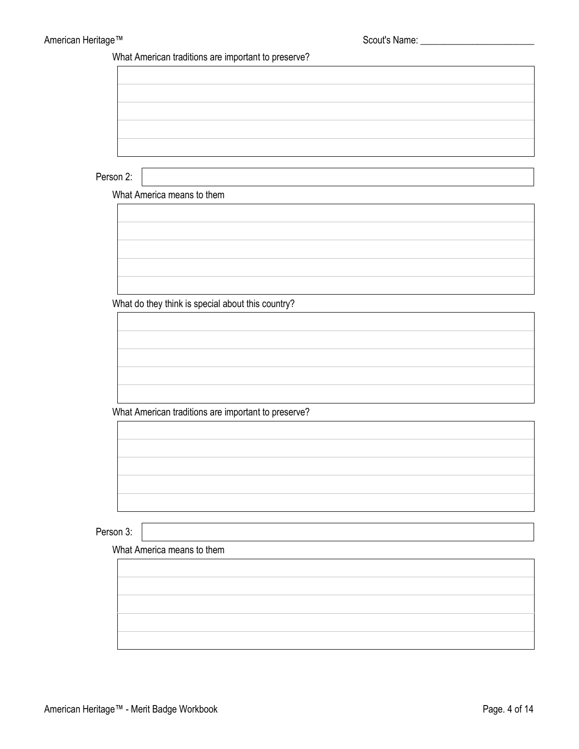What American traditions are important to preserve?

Person 2:

What America means to them



What do they think is special about this country?

What American traditions are important to preserve?

Person 3:

What America means to them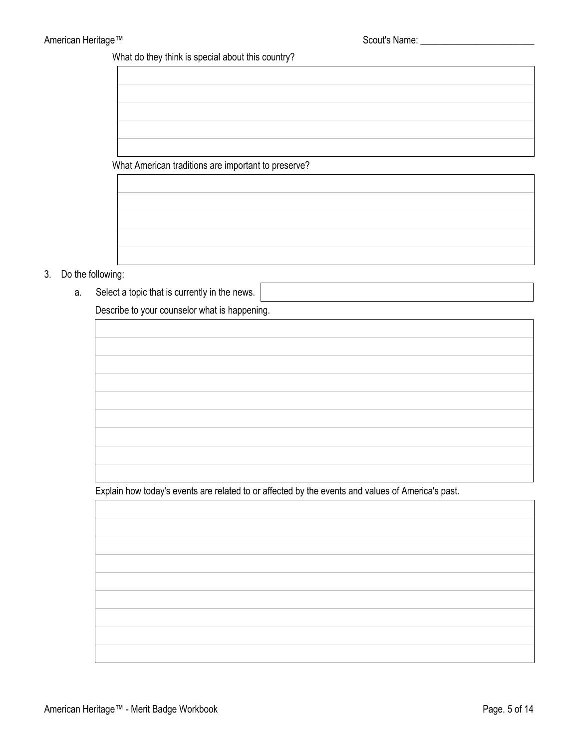What do they think is special about this country?

What American traditions are important to preserve?



#### 3. Do the following:

a. Select a topic that is currently in the news.

Describe to your counselor what is happening.

Explain how today's events are related to or affected by the events and values of America's past.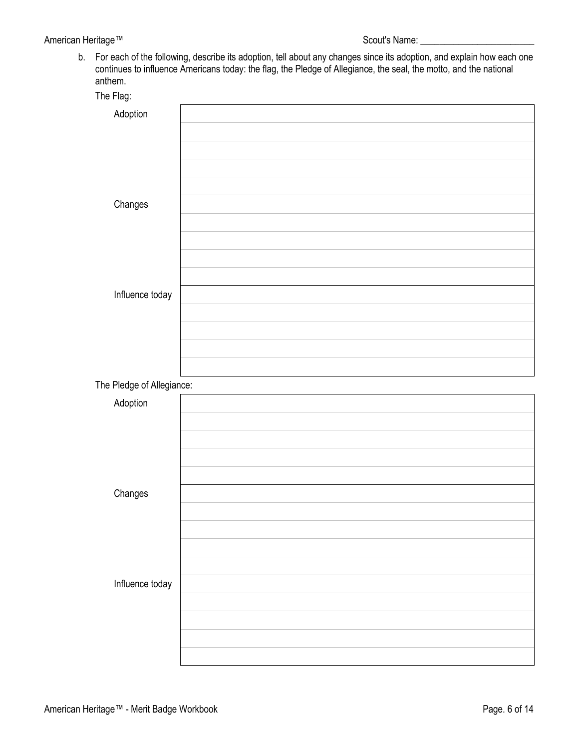### American Heritage™ Scout's Name: \_\_\_\_\_\_\_\_\_\_\_\_\_\_\_\_\_\_\_\_\_\_\_\_

b. For each of the following, describe its adoption, tell about any changes since its adoption, and explain how each one continues to influence Americans today: the flag, the Pledge of Allegiance, the seal, the motto, and the national anthem.

| The Flag:                 |  |
|---------------------------|--|
| Adoption                  |  |
|                           |  |
|                           |  |
|                           |  |
|                           |  |
| Changes                   |  |
|                           |  |
|                           |  |
|                           |  |
|                           |  |
|                           |  |
| Influence today           |  |
|                           |  |
|                           |  |
|                           |  |
|                           |  |
| The Pledge of Allegiance: |  |
| Adoption                  |  |
|                           |  |
|                           |  |
|                           |  |
|                           |  |
| Changes                   |  |
|                           |  |
|                           |  |
|                           |  |
|                           |  |
|                           |  |
| Influence today           |  |
|                           |  |
|                           |  |
|                           |  |
|                           |  |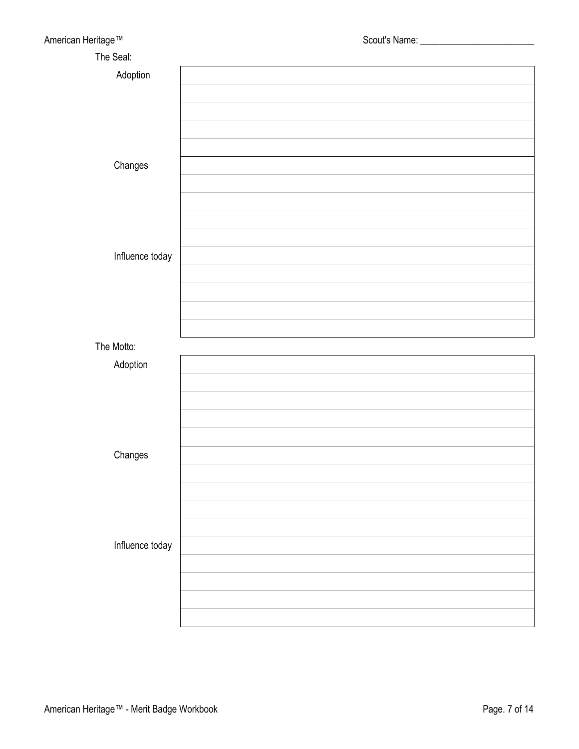| American Heritage™ |  |
|--------------------|--|
| The Seal:          |  |
| Adoption           |  |
|                    |  |
|                    |  |
|                    |  |
|                    |  |
|                    |  |
| Changes            |  |
|                    |  |
|                    |  |
|                    |  |
|                    |  |
| Influence today    |  |
|                    |  |
|                    |  |
|                    |  |
|                    |  |
| The Motto:         |  |
| Adoption           |  |
|                    |  |
|                    |  |
|                    |  |
|                    |  |
|                    |  |
| Changes            |  |
|                    |  |
|                    |  |
|                    |  |
|                    |  |
| Influence today    |  |
|                    |  |
|                    |  |
|                    |  |
|                    |  |
|                    |  |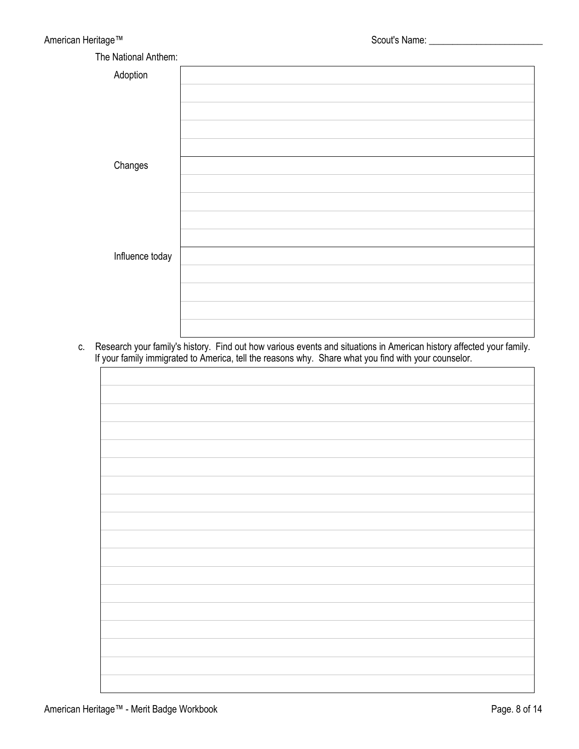| -                    |  |
|----------------------|--|
| The National Anthem: |  |
| Adoption             |  |
|                      |  |
|                      |  |
|                      |  |
|                      |  |
|                      |  |
| Changes              |  |
|                      |  |
|                      |  |
|                      |  |
|                      |  |
|                      |  |
| Influence today      |  |
|                      |  |
|                      |  |
|                      |  |
|                      |  |

c. Research your family's history. Find out how various events and situations in American history affected your family. If your family immigrated to America, tell the reasons why. Share what you find with your counselor.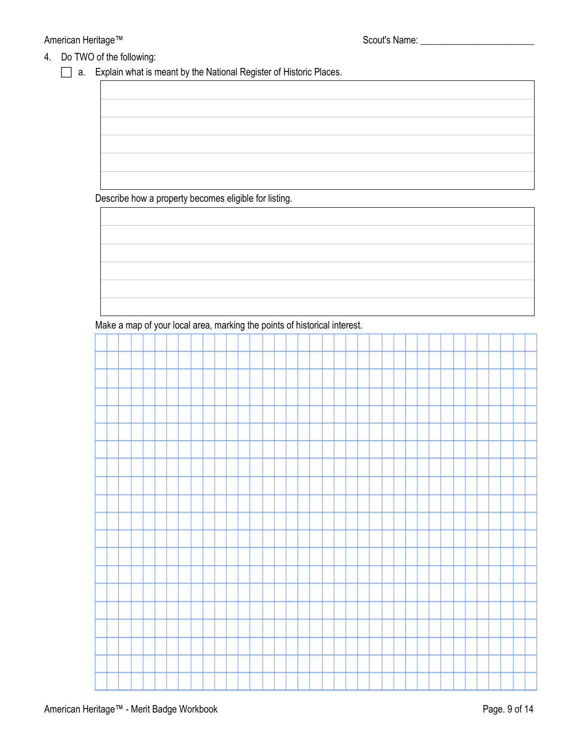#### 4. Do TWO of the following:

a. Explain what is meant by the National Register of Historic Places.

Describe how a property becomes eligible for listing.

Make a map of your local area, marking the points of historical interest.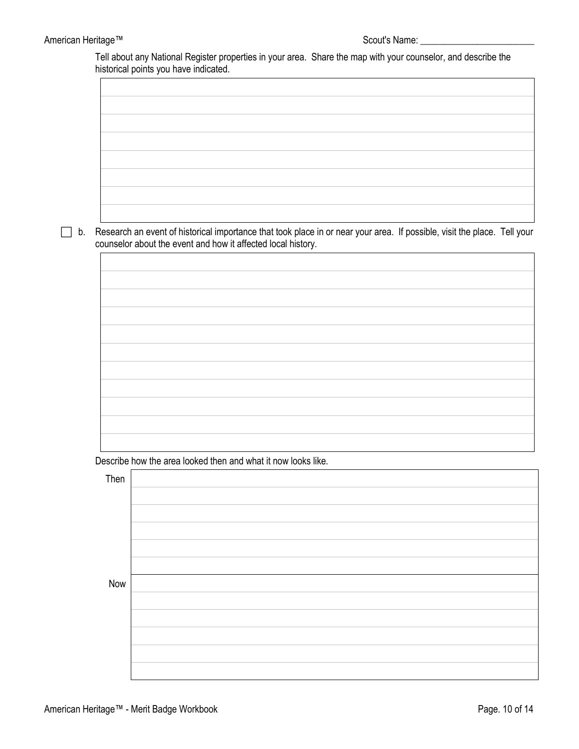Tell about any National Register properties in your area. Share the map with your counselor, and describe the historical points you have indicated.

 b. Research an event of historical importance that took place in or near your area. If possible, visit the place. Tell your counselor about the event and how it affected local history.

Describe how the area looked then and what it now looks like.

| Then |  |
|------|--|
|      |  |
|      |  |
|      |  |
|      |  |
|      |  |
|      |  |
|      |  |
|      |  |
| Now  |  |
|      |  |
|      |  |
|      |  |
|      |  |
|      |  |
|      |  |
|      |  |
|      |  |
|      |  |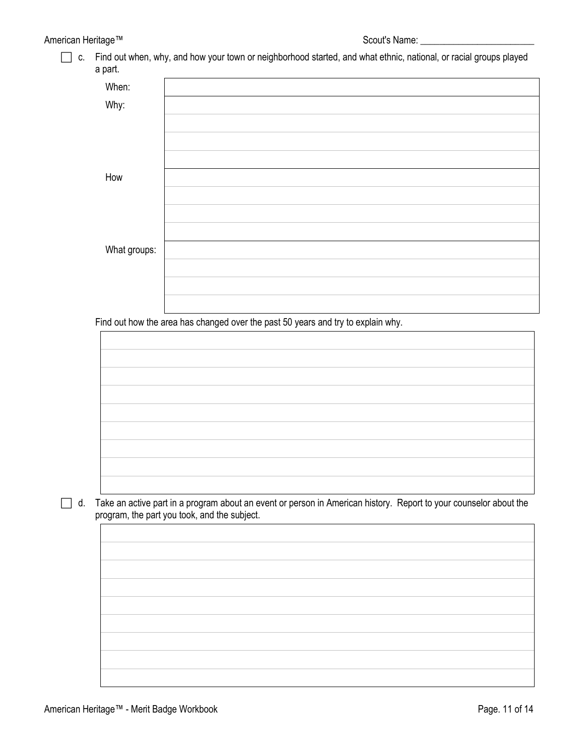c. Find out when, why, and how your town or neighborhood started, and what ethnic, national, or racial groups played a part.

| .            |  |
|--------------|--|
| When:        |  |
| Why:         |  |
|              |  |
|              |  |
|              |  |
| How          |  |
|              |  |
|              |  |
|              |  |
| What groups: |  |
|              |  |
|              |  |
|              |  |

Find out how the area has changed over the past 50 years and try to explain why.

d. Take an active part in a program about an event or person in American history. Report to your counselor about the program, the part you took, and the subject.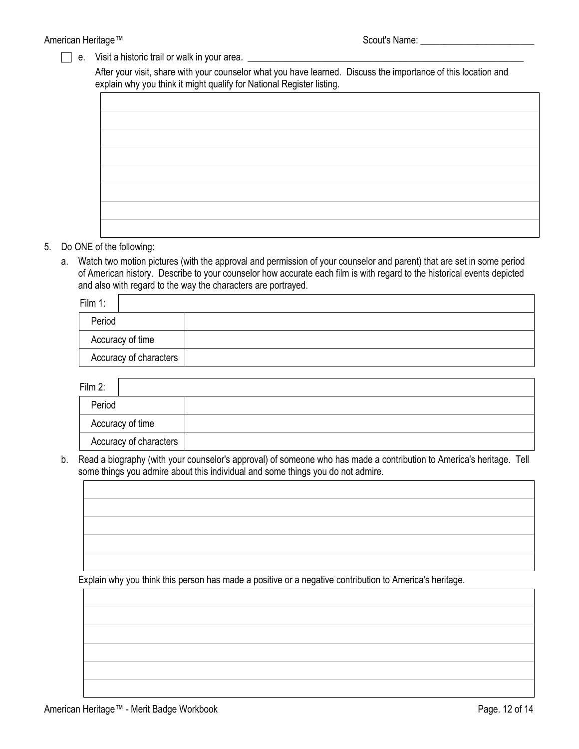$\Box$  e. Visit a historic trail or walk in your area.  $\Box$ 

After your visit, share with your counselor what you have learned. Discuss the importance of this location and explain why you think it might qualify for National Register listing.

- 5. Do ONE of the following:
	- a. Watch two motion pictures (with the approval and permission of your counselor and parent) that are set in some period of American history. Describe to your counselor how accurate each film is with regard to the historical events depicted and also with regard to the way the characters are portrayed.

| Film 1:                |  |
|------------------------|--|
| Period                 |  |
| Accuracy of time       |  |
| Accuracy of characters |  |

| Film 2:                |  |
|------------------------|--|
| Period                 |  |
| Accuracy of time       |  |
| Accuracy of characters |  |

b. Read a biography (with your counselor's approval) of someone who has made a contribution to America's heritage. Tell some things you admire about this individual and some things you do not admire.

Explain why you think this person has made a positive or a negative contribution to America's heritage.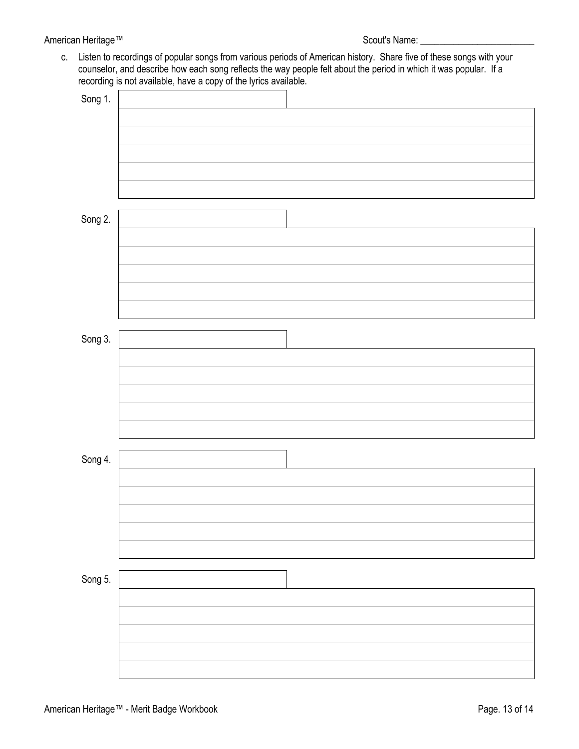#### American Heritage™ Scout's Name: \_\_\_\_\_\_\_\_\_\_\_\_\_\_\_\_\_\_\_\_\_\_\_\_

c. Listen to recordings of popular songs from various periods of American history. Share five of these songs with your counselor, and describe how each song reflects the way people felt about the period in which it was popular. If a recording is not available, have a copy of the lyrics available.

| Song 1. |  |
|---------|--|
|         |  |
|         |  |
|         |  |
|         |  |
|         |  |
|         |  |
| Song 2. |  |
|         |  |
|         |  |
|         |  |
|         |  |
|         |  |
|         |  |
|         |  |
| Song 3. |  |
|         |  |
|         |  |
|         |  |
|         |  |
|         |  |
|         |  |
| Song 4. |  |
|         |  |
|         |  |
|         |  |
|         |  |
|         |  |
|         |  |
| Song 5. |  |
|         |  |
|         |  |
|         |  |
|         |  |
|         |  |